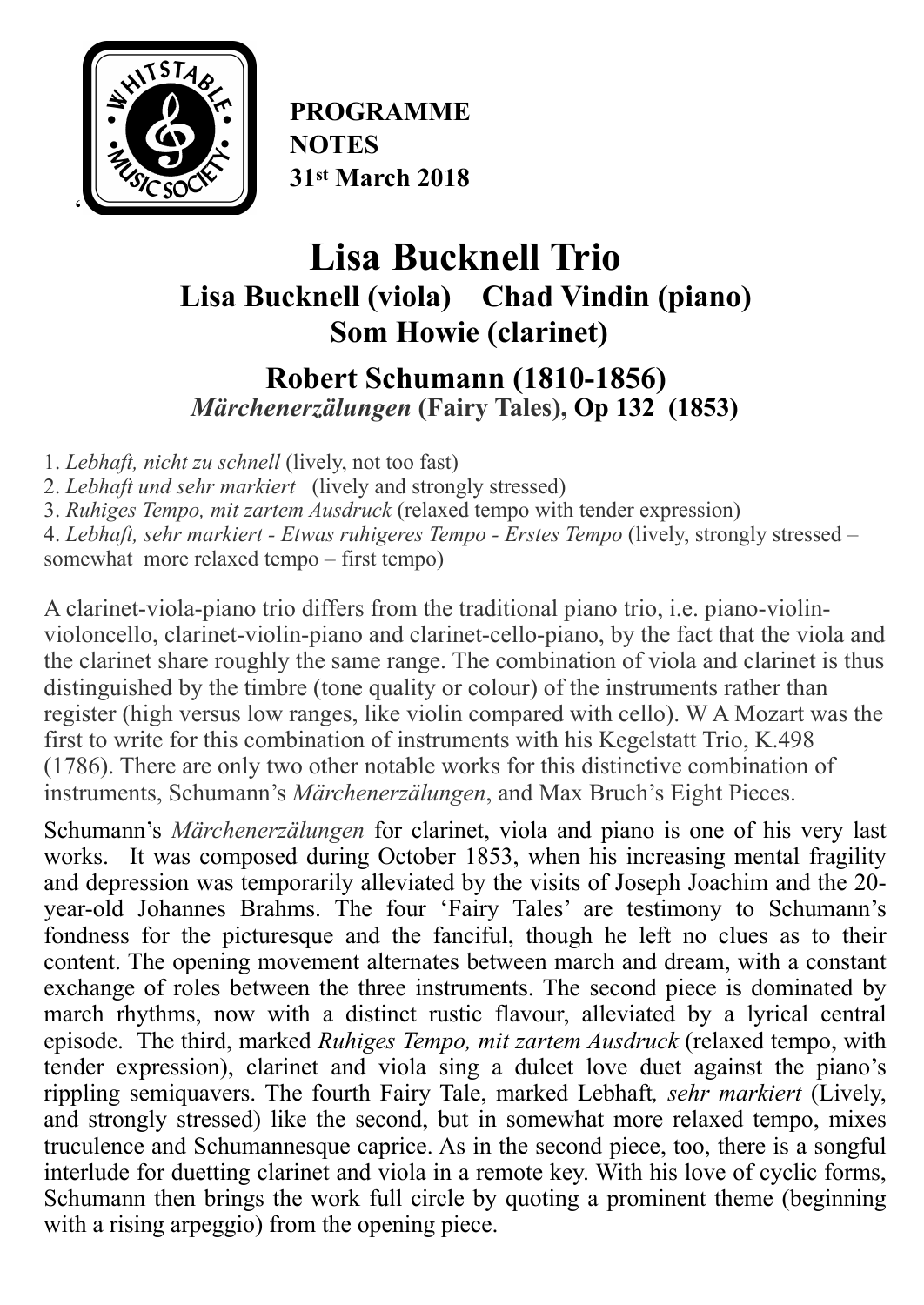

**PROGRAMME NOTES 31st March 2018**

# **Lisa Bucknell Trio Lisa Bucknell (viola) Chad Vindin (piano) Som Howie (clarinet)**

## **Robert Schumann (1810-1856)**  *Märchenerzälungen* **(Fairy Tales), Op 132 (1853)**

1. *Lebhaft, nicht zu schnell* (lively, not too fast)

2. *Lebhaft und sehr markiert* (lively and strongly stressed)

3. *Ruhiges Tempo, mit zartem Ausdruck* (relaxed tempo with tender expression)

4. *Lebhaft, sehr markiert - Etwas ruhigeres Tempo - Erstes Tempo* (lively, strongly stressed – somewhat more relaxed tempo – first tempo)

A clarinet-viola-piano trio differs from the traditional [piano trio](https://en.wikipedia.org/wiki/Piano_trio), i.e. piano-violinvioloncello, [clarinet-violin-piano](https://en.wikipedia.org/wiki/Clarinet-violin-piano_trio) and [clarinet-cello-piano,](https://en.wikipedia.org/wiki/Clarinet-cello-piano_trio) by the fact that the viola and the clarinet share roughly the same range. The combination of viola and clarinet is thus distinguished by the [timbre](https://en.wikipedia.org/wiki/Timbre) (tone quality or colour) of the instruments rather than register (high versus low ranges, like violin compared with cello). [W A Mozart](https://en.wikipedia.org/wiki/Wolfgang_Amadeus_Mozart) was the first to write for this combination of instruments with his [Kegelstatt Trio,](https://en.wikipedia.org/wiki/Kegelstatt_Trio) K.498 (1786). There are only two other notable works for this distinctive combination of instruments, Schumann's *Märchenerzälungen*, and Max Bruch's Eight Pieces.

Schumann's *Märchenerzälungen* for clarinet, viola and piano is one of his very last works. It was composed during October 1853, when his increasing mental fragility and depression was temporarily alleviated by the visits of Joseph Joachim and the 20 year-old Johannes Brahms. The four 'Fairy Tales' are testimony to Schumann's fondness for the picturesque and the fanciful, though he left no clues as to their content. The opening movement alternates between march and dream, with a constant exchange of roles between the three instruments. The second piece is dominated by march rhythms, now with a distinct rustic flavour, alleviated by a lyrical central episode. The third, marked *Ruhiges Tempo, mit zartem Ausdruck* (relaxed tempo, with tender expression), clarinet and viola sing a dulcet love duet against the piano's rippling semiquavers. The fourth Fairy Tale, marked Lebhaft*, sehr markiert* (Lively, and strongly stressed) like the second, but in somewhat more relaxed tempo, mixes truculence and Schumannesque caprice. As in the second piece, too, there is a songful interlude for duetting clarinet and viola in a remote key. With his love of cyclic forms, Schumann then brings the work full circle by quoting a prominent theme (beginning with a rising arpeggio) from the opening piece.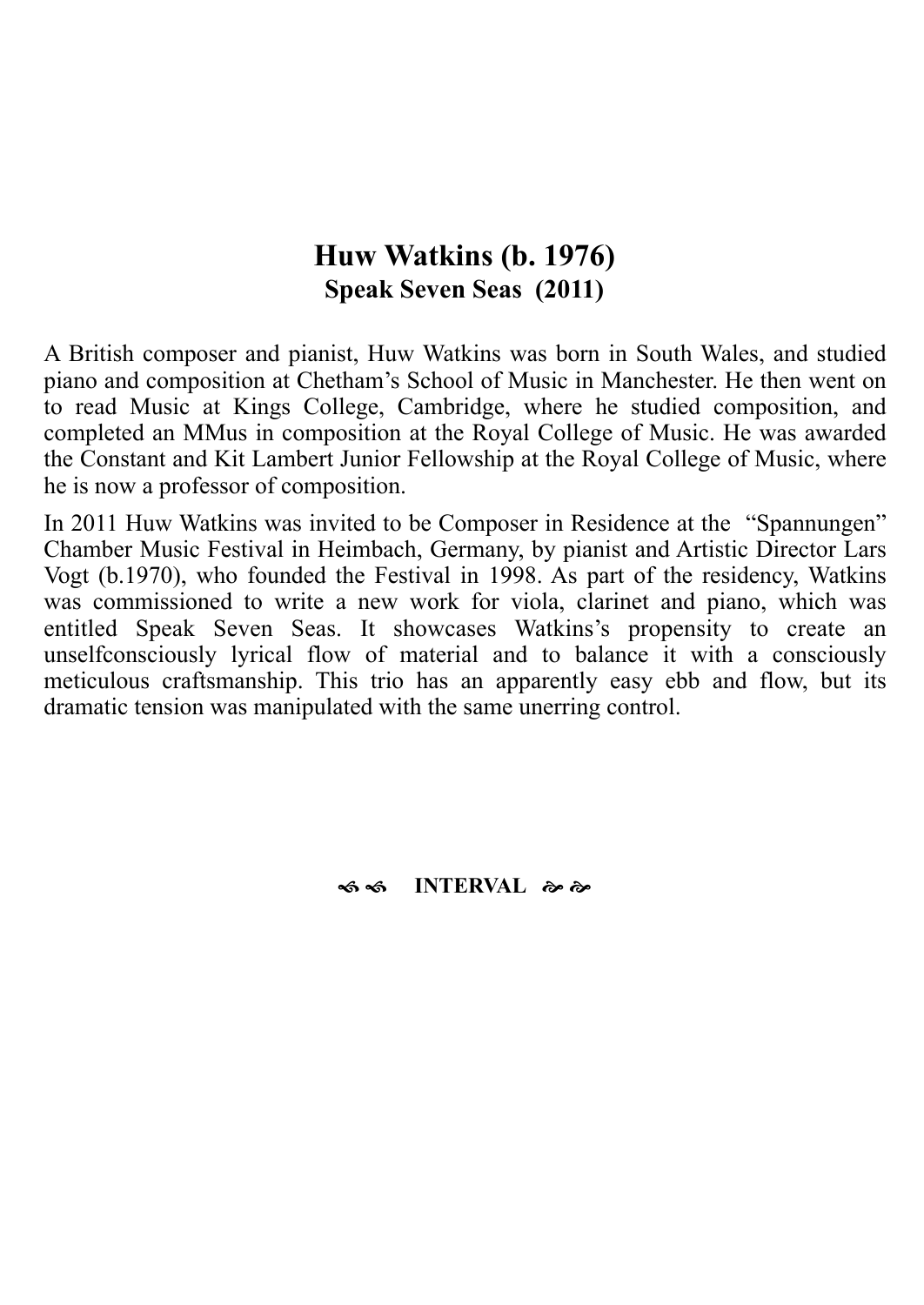### **Huw Watkins (b. 1976) Speak Seven Seas (2011)**

A British composer and pianist, Huw Watkins was born in South Wales, and studied piano and composition at [Chetham's School of Music](https://en.wikipedia.org/wiki/Chetham%2527s_School_of_Music) in Manchester. He then went on to read Music at [Kings College, Cambridge](https://en.wikipedia.org/wiki/King%2527s_College,_Cambridge), where he studied composition, and completed an MMus in composition at the [Royal College of Music](https://en.wikipedia.org/wiki/Royal_College_of_Music). He was awarded the Constant and [Kit Lambert](https://en.wikipedia.org/wiki/Kit_Lambert) Junior Fellowship at the Royal College of Music, where he is now a professor of composition.

In 2011 Huw Watkins was invited to be Composer in Residence at the "Spannungen" Chamber Music Festival in Heimbach, Germany, by pianist and Artistic Director [Lars](https://www.discogs.com/artist/931395-Lars-Vogt) [Vogt](https://www.discogs.com/artist/931395-Lars-Vogt) (b.1970), who founded the Festival in 1998. As part of the residency, Watkins was commissioned to write a new work for viola, clarinet and piano, which was entitled Speak Seven Seas. It showcases Watkins's propensity to create an unselfconsciously lyrical flow of material and to balance it with a consciously meticulous craftsmanship. This trio has an apparently easy ebb and flow, but its dramatic tension was manipulated with the same unerring control.

#### $\approx$  **S**  $\approx$  **INTERVAL**  $\approx$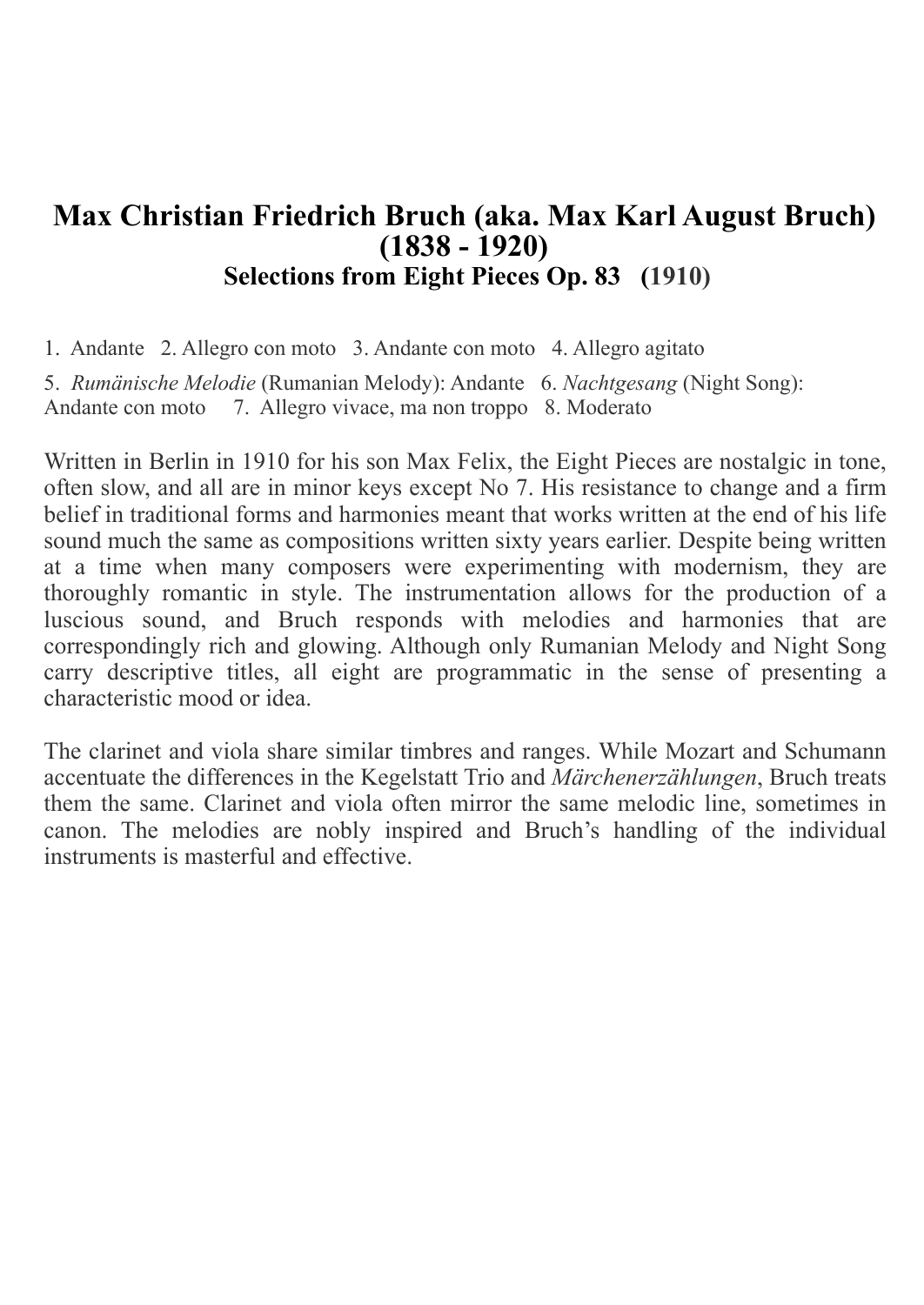### **Max Christian Friedrich Bruch (aka. Max Karl August Bruch) (1838 - 1920) Selections from Eight Pieces Op. 83 (1910)**

1. Andante 2. Allegro con moto 3. Andante con moto 4. Allegro agitato

5. *Rumänische Melodie* (Rumanian Melody): Andante 6. *Nachtgesang* (Night Song): Andante con moto 7. Allegro vivace, ma non troppo 8. Moderato

Written in Berlin in 1910 for his son Max Felix, the Eight Pieces are nostalgic in tone, often slow, and all are in minor keys except No 7. His resistance to change and a firm belief in traditional forms and harmonies meant that works written at the end of his life sound much the same as compositions written sixty years earlier. Despite being written at a time when many composers were experimenting with modernism, they are thoroughly romantic in style. The instrumentation allows for the production of a luscious sound, and Bruch responds with melodies and harmonies that are correspondingly rich and glowing. Although only Rumanian Melody and Night Song carry descriptive titles, all eight are programmatic in the sense of presenting a characteristic mood or idea.

The clarinet and viola share similar timbres and ranges. While Mozart and Schumann accentuate the differences in the Kegelstatt Trio and *Märchenerzählungen*, Bruch treats them the same. Clarinet and viola often mirror the same melodic line, sometimes in canon. The melodies are nobly inspired and Bruch's handling of the individual instruments is masterful and effective.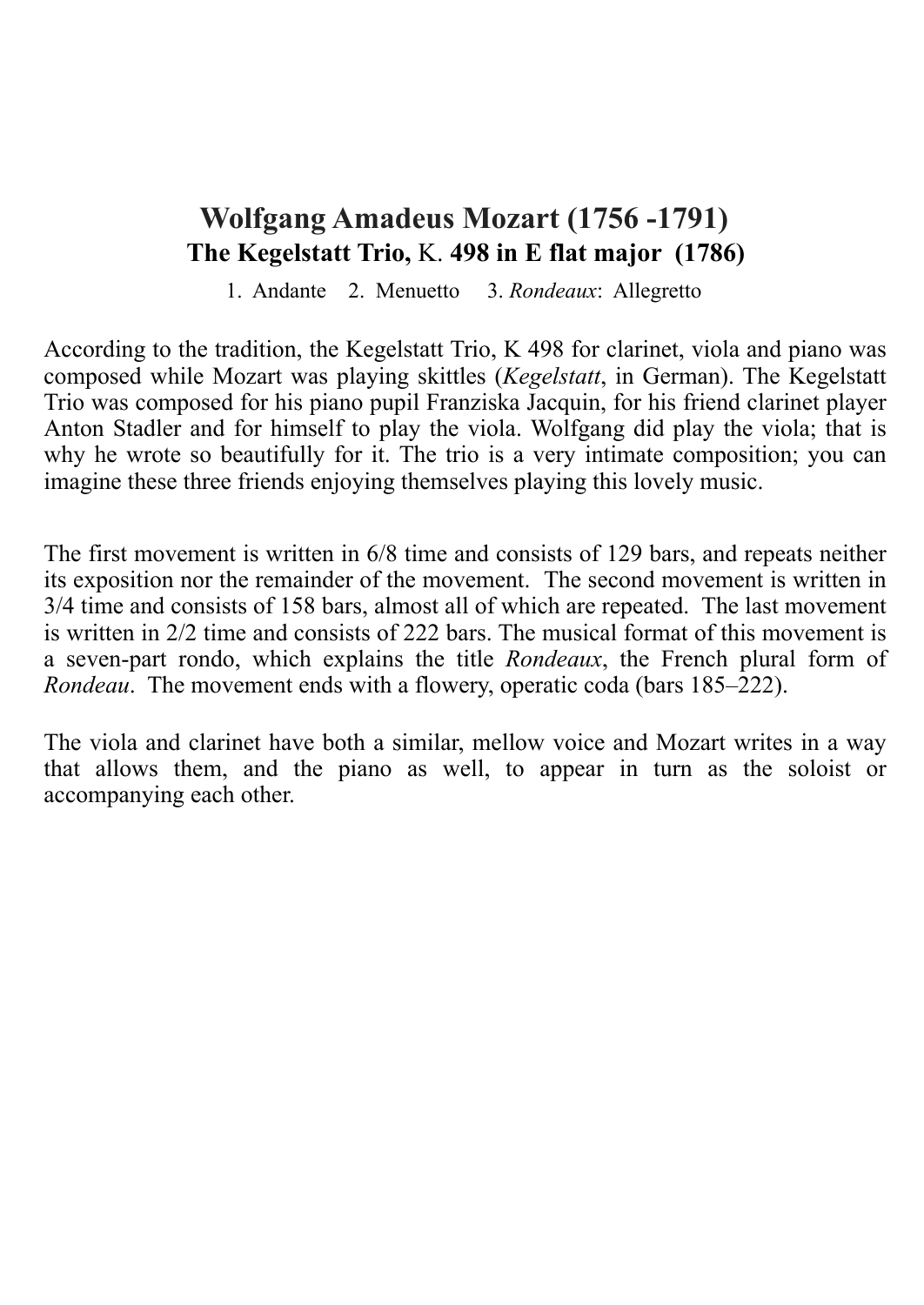### **Wolfgang Amadeus Mozart (1756 -1791) The Kegelstatt Trio,** [K.](https://en.wikipedia.org/wiki/K%25C3%25B6chel_catalogue) **498 in E flat major (1786)**

1. Andante 2. Menuetto 3. *Rondeaux*: Allegretto

According to the tradition, the Kegelstatt Trio, K 498 for clarinet, viola and piano was composed while Mozart was playing skittles (*Kegelstatt*, in German). The Kegelstatt Trio was composed for his piano pupil Franziska Jacquin, for his friend clarinet player Anton Stadler and for himself to play the viola. [Wolfgang did play the viola](http://www.viola-in-music.com/biographyofWolfgangAmadeusMozart.html); that is why he wrote so beautifully for it. The trio is a very intimate composition; you can imagine these three friends enjoying themselves playing this lovely music.

The first movement is written in [6/8 time](https://en.wikipedia.org/wiki/6/8_time) and consists of 129 [bars](https://en.wikipedia.org/wiki/Bar_(music)), and [repeats](https://en.wikipedia.org/wiki/Repetition_(music)) neither its exposition nor the remainder of the movement. The second movement is written in [3/4 time](https://en.wikipedia.org/wiki/Triple_metre) and consists of 158 bars, almost all of which are repeated. The last movement is written in 2/2 time and consists of 222 bars. The musical format of this movement is a seven-part rondo, which explains the title *Rondeaux*, the [French](https://en.wikipedia.org/wiki/French_language) [plural](https://en.wikipedia.org/wiki/Plural) form of *Rondeau*. The movement ends with a flowery, operatic coda (bars 185–222).

The viola and clarinet have both a similar, mellow voice and Mozart writes in a way that allows them, and the piano as well, to appear in turn as the soloist or accompanying each other.